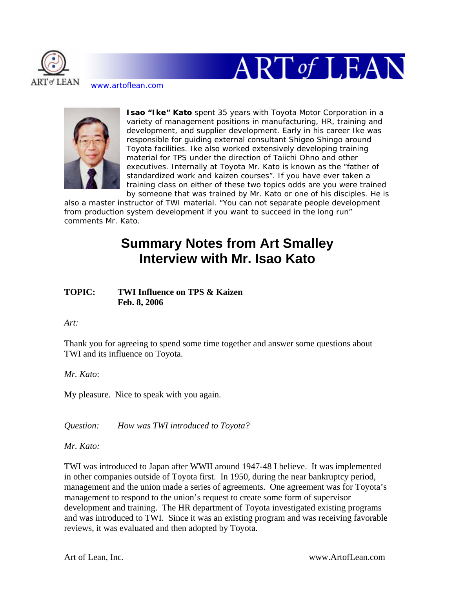



www.artoflean.com



**Isao "Ike" Kato** spent 35 years with Toyota Motor Corporation in a variety of management positions in manufacturing, HR, training and development, and supplier development. Early in his career Ike was responsible for guiding external consultant Shigeo Shingo around Toyota facilities. Ike also worked extensively developing training material for TPS under the direction of Taiichi Ohno and other executives. Internally at Toyota Mr. Kato is known as the "father of standardized work and kaizen courses". If you have ever taken a training class on either of these two topics odds are you were trained by someone that was trained by Mr. Kato or one of his disciples. He is

also a master instructor of TWI material. "You can not separate people development from production system development if you want to succeed in the long run" comments Mr. Kato.

# **Summary Notes from Art Smalley Interview with Mr. Isao Kato**

## **TOPIC: TWI Influence on TPS & Kaizen Feb. 8, 2006**

*Art:* 

Thank you for agreeing to spend some time together and answer some questions about TWI and its influence on Toyota.

*Mr. Kato*:

My pleasure. Nice to speak with you again.

*Question: How was TWI introduced to Toyota?* 

*Mr. Kato:* 

TWI was introduced to Japan after WWII around 1947-48 I believe. It was implemented in other companies outside of Toyota first. In 1950, during the near bankruptcy period, management and the union made a series of agreements. One agreement was for Toyota's management to respond to the union's request to create some form of supervisor development and training. The HR department of Toyota investigated existing programs and was introduced to TWI. Since it was an existing program and was receiving favorable reviews, it was evaluated and then adopted by Toyota.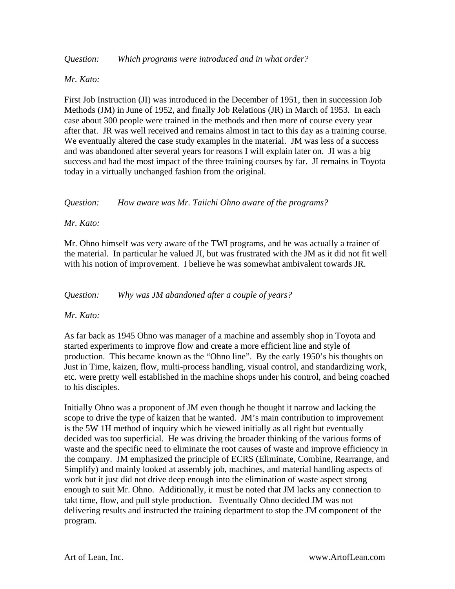### *Question: Which programs were introduced and in what order?*

### *Mr. Kato:*

First Job Instruction (JI) was introduced in the December of 1951, then in succession Job Methods (JM) in June of 1952, and finally Job Relations (JR) in March of 1953. In each case about 300 people were trained in the methods and then more of course every year after that. JR was well received and remains almost in tact to this day as a training course. We eventually altered the case study examples in the material. JM was less of a success and was abandoned after several years for reasons I will explain later on. JI was a big success and had the most impact of the three training courses by far. JI remains in Toyota today in a virtually unchanged fashion from the original.

## *Question: How aware was Mr. Taiichi Ohno aware of the programs?*

## *Mr. Kato:*

Mr. Ohno himself was very aware of the TWI programs, and he was actually a trainer of the material. In particular he valued JI, but was frustrated with the JM as it did not fit well with his notion of improvement. I believe he was somewhat ambivalent towards JR.

#### *Question: Why was JM abandoned after a couple of years?*

#### *Mr. Kato:*

As far back as 1945 Ohno was manager of a machine and assembly shop in Toyota and started experiments to improve flow and create a more efficient line and style of production. This became known as the "Ohno line". By the early 1950's his thoughts on Just in Time, kaizen, flow, multi-process handling, visual control, and standardizing work, etc. were pretty well established in the machine shops under his control, and being coached to his disciples.

Initially Ohno was a proponent of JM even though he thought it narrow and lacking the scope to drive the type of kaizen that he wanted. JM's main contribution to improvement is the 5W 1H method of inquiry which he viewed initially as all right but eventually decided was too superficial. He was driving the broader thinking of the various forms of waste and the specific need to eliminate the root causes of waste and improve efficiency in the company. JM emphasized the principle of ECRS (Eliminate, Combine, Rearrange, and Simplify) and mainly looked at assembly job, machines, and material handling aspects of work but it just did not drive deep enough into the elimination of waste aspect strong enough to suit Mr. Ohno. Additionally, it must be noted that JM lacks any connection to takt time, flow, and pull style production. Eventually Ohno decided JM was not delivering results and instructed the training department to stop the JM component of the program.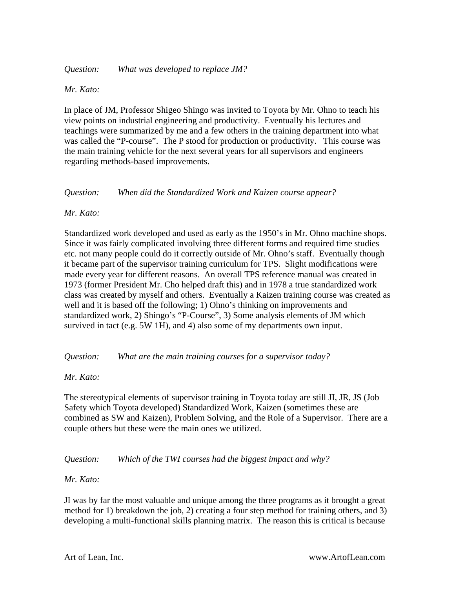#### *Question: What was developed to replace JM?*

#### *Mr. Kato:*

In place of JM, Professor Shigeo Shingo was invited to Toyota by Mr. Ohno to teach his view points on industrial engineering and productivity. Eventually his lectures and teachings were summarized by me and a few others in the training department into what was called the "P-course". The P stood for production or productivity. This course was the main training vehicle for the next several years for all supervisors and engineers regarding methods-based improvements.

#### *Question: When did the Standardized Work and Kaizen course appear?*

## *Mr. Kato:*

Standardized work developed and used as early as the 1950's in Mr. Ohno machine shops. Since it was fairly complicated involving three different forms and required time studies etc. not many people could do it correctly outside of Mr. Ohno's staff. Eventually though it became part of the supervisor training curriculum for TPS. Slight modifications were made every year for different reasons. An overall TPS reference manual was created in 1973 (former President Mr. Cho helped draft this) and in 1978 a true standardized work class was created by myself and others. Eventually a Kaizen training course was created as well and it is based off the following; 1) Ohno's thinking on improvements and standardized work, 2) Shingo's "P-Course", 3) Some analysis elements of JM which survived in tact (e.g. 5W 1H), and 4) also some of my departments own input.

*Question: What are the main training courses for a supervisor today?* 

#### *Mr. Kato:*

The stereotypical elements of supervisor training in Toyota today are still JI, JR, JS (Job Safety which Toyota developed) Standardized Work, Kaizen (sometimes these are combined as SW and Kaizen), Problem Solving, and the Role of a Supervisor. There are a couple others but these were the main ones we utilized.

*Question: Which of the TWI courses had the biggest impact and why?* 

*Mr. Kato:* 

JI was by far the most valuable and unique among the three programs as it brought a great method for 1) breakdown the job, 2) creating a four step method for training others, and 3) developing a multi-functional skills planning matrix. The reason this is critical is because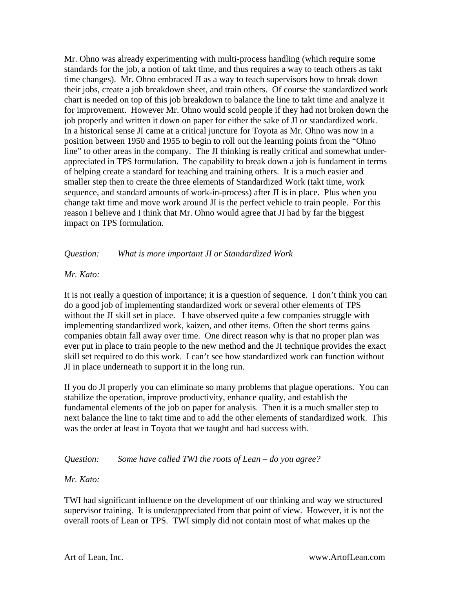Mr. Ohno was already experimenting with multi-process handling (which require some standards for the job, a notion of takt time, and thus requires a way to teach others as takt time changes). Mr. Ohno embraced JI as a way to teach supervisors how to break down their jobs, create a job breakdown sheet, and train others. Of course the standardized work chart is needed on top of this job breakdown to balance the line to takt time and analyze it for improvement. However Mr. Ohno would scold people if they had not broken down the job properly and written it down on paper for either the sake of JI or standardized work. In a historical sense JI came at a critical juncture for Toyota as Mr. Ohno was now in a position between 1950 and 1955 to begin to roll out the learning points from the "Ohno line" to other areas in the company. The JI thinking is really critical and somewhat underappreciated in TPS formulation. The capability to break down a job is fundament in terms of helping create a standard for teaching and training others. It is a much easier and smaller step then to create the three elements of Standardized Work (takt time, work sequence, and standard amounts of work-in-process) after JI is in place. Plus when you change takt time and move work around JI is the perfect vehicle to train people. For this reason I believe and I think that Mr. Ohno would agree that JI had by far the biggest impact on TPS formulation.

## *Question: What is more important JI or Standardized Work*

## *Mr. Kato:*

It is not really a question of importance; it is a question of sequence. I don't think you can do a good job of implementing standardized work or several other elements of TPS without the JI skill set in place. I have observed quite a few companies struggle with implementing standardized work, kaizen, and other items. Often the short terms gains companies obtain fall away over time. One direct reason why is that no proper plan was ever put in place to train people to the new method and the JI technique provides the exact skill set required to do this work. I can't see how standardized work can function without JI in place underneath to support it in the long run.

If you do JI properly you can eliminate so many problems that plague operations. You can stabilize the operation, improve productivity, enhance quality, and establish the fundamental elements of the job on paper for analysis. Then it is a much smaller step to next balance the line to takt time and to add the other elements of standardized work. This was the order at least in Toyota that we taught and had success with.

#### *Question: Some have called TWI the roots of Lean – do you agree?*

#### *Mr. Kato:*

TWI had significant influence on the development of our thinking and way we structured supervisor training. It is underappreciated from that point of view. However, it is not the overall roots of Lean or TPS. TWI simply did not contain most of what makes up the